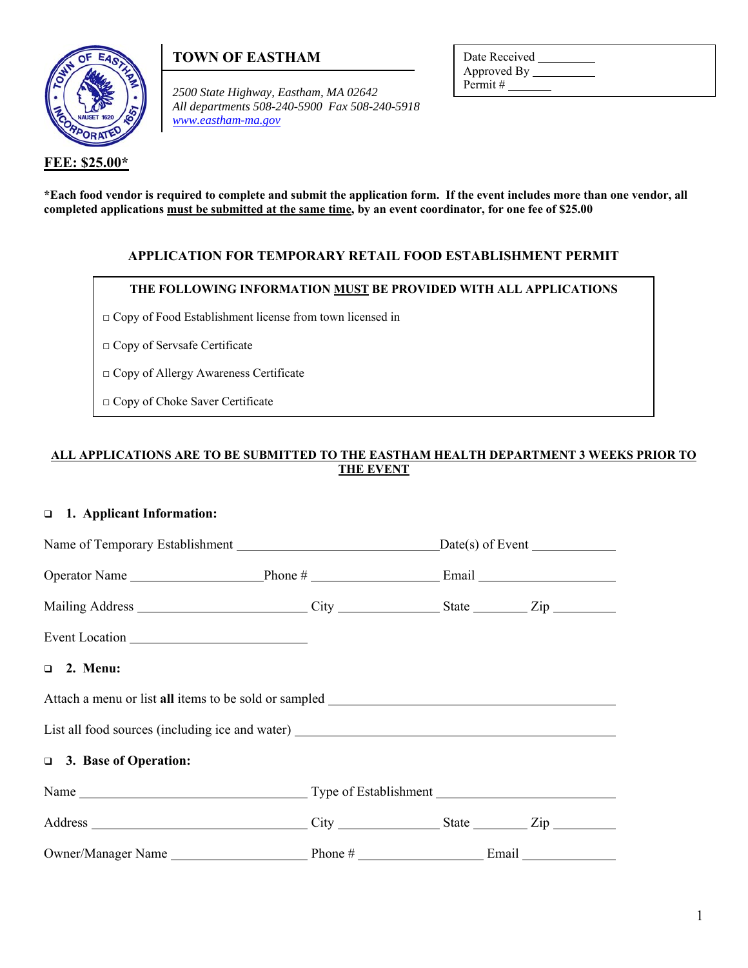

**FEE: \$25.00\*** 

# **TOWN OF EASTHAM**

*2500 State Highway, Eastham, MA 02642 All departments 508-240-5900 Fax 508-240-5918 www.eastham-ma.gov*

Date Received Approved By \_\_\_\_\_\_\_\_\_\_\_ Permit #

**\*Each food vendor is required to complete and submit the application form. If the event includes more than one vendor, all completed applications must be submitted at the same time, by an event coordinator, for one fee of \$25.00** 

# **APPLICATION FOR TEMPORARY RETAIL FOOD ESTABLISHMENT PERMIT**

### **THE FOLLOWING INFORMATION MUST BE PROVIDED WITH ALL APPLICATIONS**

□ Copy of Food Establishment license from town licensed in

□ Copy of Servsafe Certificate

□ Copy of Allergy Awareness Certificate

□ Copy of Choke Saver Certificate

# **ALL APPLICATIONS ARE TO BE SUBMITTED TO THE EASTHAM HEALTH DEPARTMENT 3 WEEKS PRIOR TO THE EVENT**

## **1. Applicant Information:**

| Event Location                                                                    |  |  |  |
|-----------------------------------------------------------------------------------|--|--|--|
| $\Box$ 2. Menu:                                                                   |  |  |  |
|                                                                                   |  |  |  |
| List all food sources (including ice and water) _________________________________ |  |  |  |
| □ 3. Base of Operation:                                                           |  |  |  |
|                                                                                   |  |  |  |
|                                                                                   |  |  |  |
|                                                                                   |  |  |  |